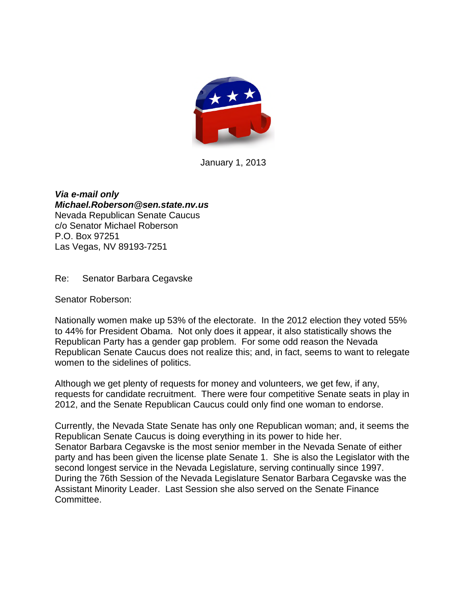

January 1, 2013

*Via e-mail only Michael.Roberson@sen.state.nv.us* Nevada Republican Senate Caucus c/o Senator Michael Roberson P.O. Box 97251 Las Vegas, NV 89193-7251

Re: Senator Barbara Cegavske

Senator Roberson:

Nationally women make up 53% of the electorate. In the 2012 election they voted 55% to 44% for President Obama. Not only does it appear, it also statistically shows the Republican Party has a gender gap problem. For some odd reason the Nevada Republican Senate Caucus does not realize this; and, in fact, seems to want to relegate women to the sidelines of politics.

Although we get plenty of requests for money and volunteers, we get few, if any, requests for candidate recruitment. There were four competitive Senate seats in play in 2012, and the Senate Republican Caucus could only find one woman to endorse.

Currently, the Nevada State Senate has only one Republican woman; and, it seems the Republican Senate Caucus is doing everything in its power to hide her. Senator Barbara Cegavske is the most senior member in the Nevada Senate of either party and has been given the license plate Senate 1. She is also the Legislator with the second longest service in the Nevada Legislature, serving continually since 1997. During the 76th Session of the Nevada Legislature Senator Barbara Cegavske was the Assistant Minority Leader. Last Session she also served on the Senate Finance Committee.